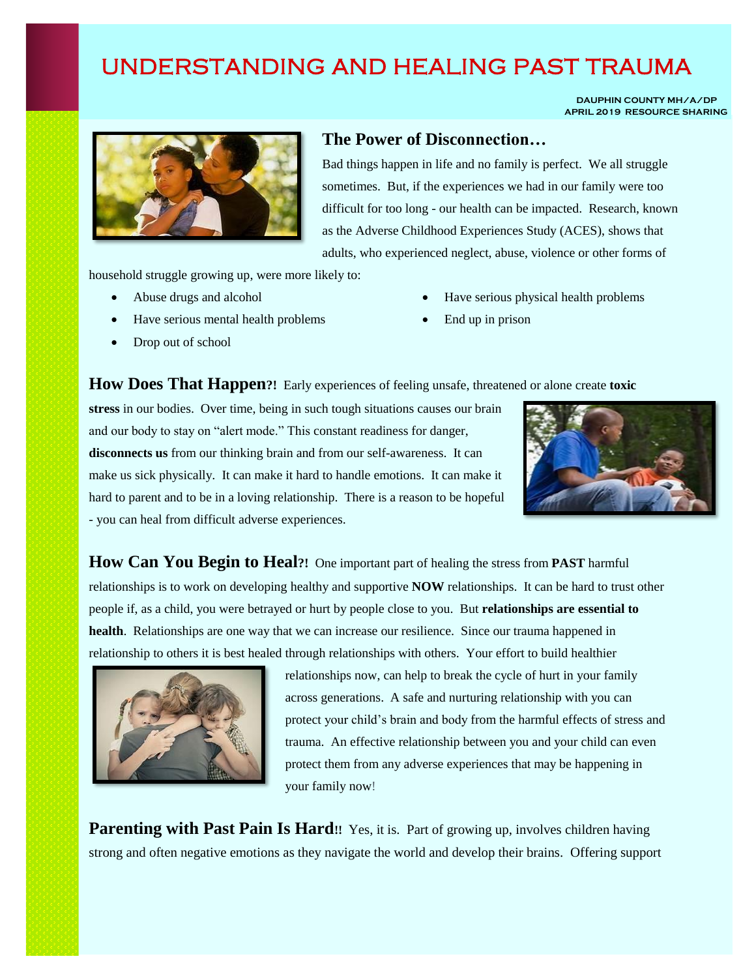## UNDERSTANDING AND HEALING PAST TRAUMA

 **DAUPHIN COUNTY MH/A/DP APRIL 2019 RESOURCE SHARING**



## **The Power of Disconnection…**

Bad things happen in life and no family is perfect. We all struggle sometimes. But, if the experiences we had in our family were too difficult for too long - our health can be impacted. Research, known as the Adverse Childhood Experiences Study (ACES), shows that adults, who experienced neglect, abuse, violence or other forms of

household struggle growing up, were more likely to:

- Abuse drugs and alcohol
- Have serious mental health problems
- Drop out of school
- Have serious physical health problems
- End up in prison



**How Does That Happen?!** Early experiences of feeling unsafe, threatened or alone create **toxic** 

**stress** in our bodies. Over time, being in such tough situations causes our brain and our body to stay on "alert mode." This constant readiness for danger, **disconnects us** from our thinking brain and from our self-awareness. It can make us sick physically. It can make it hard to handle emotions. It can make it hard to parent and to be in a loving relationship. There is a reason to be hopeful - you can heal from difficult adverse experiences.

**How Can You Begin to Heal?!** One important part of healing the stress from **PAST** harmful relationships is to work on developing healthy and supportive **NOW** relationships. It can be hard to trust other people if, as a child, you were betrayed or hurt by people close to you. But **relationships are essential to health**. Relationships are one way that we can increase our resilience. Since our trauma happened in relationship to others it is best healed through relationships with others. Your effort to build healthier



relationships now, can help to break the cycle of hurt in your family across generations. A safe and nurturing relationship with you can protect your child's brain and body from the harmful effects of stress and trauma. An effective relationship between you and your child can even protect them from any adverse experiences that may be happening in your family now!

Parenting with Past Pain Is Hard!! Yes, it is. Part of growing up, involves children having strong and often negative emotions as they navigate the world and develop their brains. Offering support